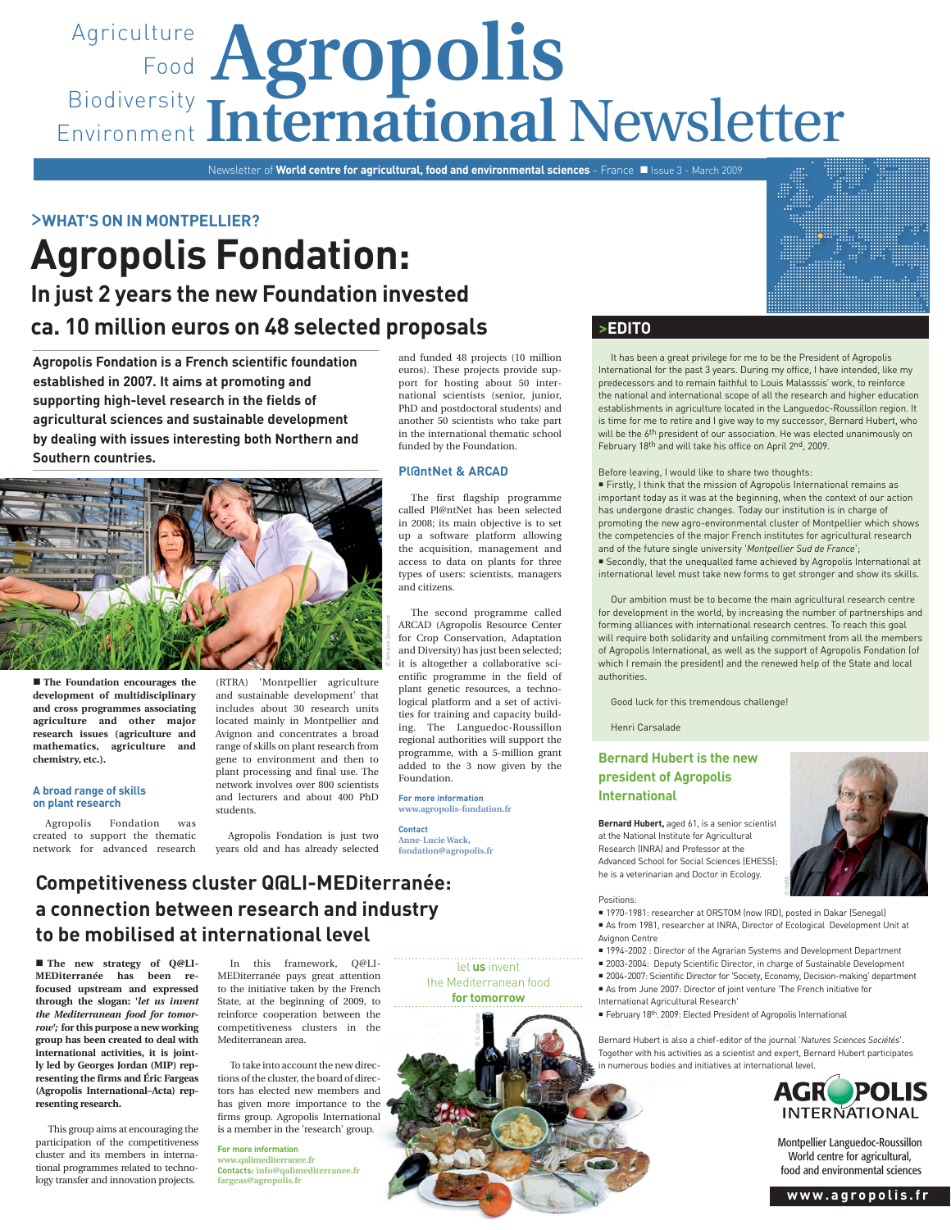# Agriculture **Agropolis** Food Biodiversity Environment International Newsletter

Newsletter of **World centre for agricultural, food and environmental sciences** - France **II** Issue 3 - March 2009

>**WHAT'S ON IN MONTPELLIER?**

## **Agropolis Fondation: In just 2 years the new Foundation invested ca. 10 million euros on 48 selected proposals**

**Agropolis Fondation is a French scientific foundation established in 2007. It aims at promoting and supporting high-level research in the fields of agricultural sciences and sustainable development by dealing with issues interesting both Northern and Southern countries.** 



The first flagship programme called Pl@ntNet has been selected in 2008; its main objective is to set up a software platform allowing the acquisition, management and access to data on plants for three types of users: scientists, managers and citizens.

The second programme called ARCAD (Agropolis Resource Center and Diversity) has just been selected; added to the 3 now given by the

**For more information**

# years old and has already selected

**Pl@ntNet & ARCAD**

for Crop Conservation, Adaptation it is altogether a collaborative scientific programme in the field of plant genetic resources, a technological platform and a set of activities for training and capacity building. The Languedoc-Roussillon regional authorities will support the programme, with a 5-million grant Foundation.

#### **www.agropolis-fondation.fr**

**Contact Anne-Lucie Wack, fondation@agropolis.fr**

#### **>EDITO**

It has been a great privilege for me to be the President of Agropolis International for the past 3 years. During my office, I have intended, like my predecessors and to remain faithful to Louis Malasssis' work, to reinforce the national and international scope of all the research and higher education establishments in agriculture located in the Languedoc-Roussillon region. It is time for me to retire and I give way to my successor, Bernard Hubert, who will be the 6<sup>th</sup> president of our association. He was elected unanimously on February 18<sup>th</sup> and will take his office on April 2<sup>nd</sup>, 2009.

#### Before leaving, I would like to share two thoughts:

 Firstly, I think that the mission of Agropolis International remains as important today as it was at the beginning, when the context of our action has undergone drastic changes. Today our institution is in charge of promoting the new agro-environmental cluster of Montpellier which shows the competencies of the major French institutes for agricultural research and of the future single university '*Montpellier Sud de France*'; Secondly, that the unequalled fame achieved by Agropolis International at international level must take new forms to get stronger and show its skills.

Our ambition must be to become the main agricultural research centre for development in the world, by increasing the number of partnerships and forming alliances with international research centres. To reach this goal will require both solidarity and unfailing commitment from all the members of Agropolis International, as well as the support of Agropolis Fondation (of which I remain the president) and the renewed help of the State and local authorities.

Good luck for this tremendous challenge!

Henri Carsalade

#### **Bernard Hubert is the new president of Agropolis International**

**Bernard Hubert,** aged 61, is a senior scientist at the National Institute for Agricultural Research (INRA) and Professor at the Advanced School for Social Sciences (EHESS); he is a veterinarian and Doctor in Ecology.



■ 1970-1981: researcher at ORSTOM (now IRD), posted in Dakar (Senegal)

 As from 1981, researcher at INRA, Director of Ecological Development Unit at Avignon Centre

© INRA

- 1994-2002 : Director of the Agrarian Systems and Development Department
- 2003-2004: Deputy Scientific Director, in charge of Sustainable Development
- 2004-2007: Scientific Director for 'Society, Economy, Decision-making' department
- As from June 2007: Director of joint venture 'The French initiative for
- International Agricultural Research'
- February 18<sup>th</sup>, 2009: Elected President of Agropolis International

Bernard Hubert is also a chief-editor of the journal '*Natures Sciences Sociétés*'. Together with his activities as a scientist and expert, Bernard Hubert participates in numerous bodies and initiatives at international level.



Montpellier Languedoc-Roussillon World centre for agricultural, food and environmental sciences

# (RTRA) 'Montpellier agriculture © Antoine Devouard

■ The Foundation encourages the **development of multidisciplinary and cross programmes associating agriculture and other major research issues (agriculture and mathematics, agriculture and chemistry, etc.).**

#### **A broad range of skills on plant research**

Agropolis Fondation was created to support the thematic network for advanced research

and sustainable development' that includes about 30 research units located mainly in Montpellier and Avignon and concentrates a broad range of skills on plant research from gene to environment and then to plant processing and final use. The network involves over 800 scientists and lecturers and about 400 PhD students.

Agropolis Fondation is just two

**Competitiveness cluster Q@LI-MEDiterranée: a connection between research and industry to be mobilised at international level**

**The new strategy of Q@LI-MEDiterranée has been refocused upstream and expressed through the slogan: '***let us invent the Mediterranean food for tomorrow';* **for this purpose a new working group has been created to deal with international activities, it is jointly led by Georges Jordan (MIP) representing the firms and Éric Fargeas (Agropolis International–Acta) representing research.**

This group aims at encouraging the participation of the competitiveness cluster and its members in international programmes related to technology transfer and innovation projects.

In this framework, Q@LI-MEDiterranée pays great attention to the initiative taken by the French State, at the beginning of 2009, to reinforce cooperation between the competitiveness clusters in the Mediterranean area.

To take into account the new directions of the cluster, the board of directors has elected new members and has given more importance to the firms group. Agropolis International is a member in the 'research' group.

**For more information www.qalimediterranee.fr Contacts: info@qalimediterranee.fr fargeas@agropolis.fr**

let **us** invent the Mediterranean food **for tomorrow**